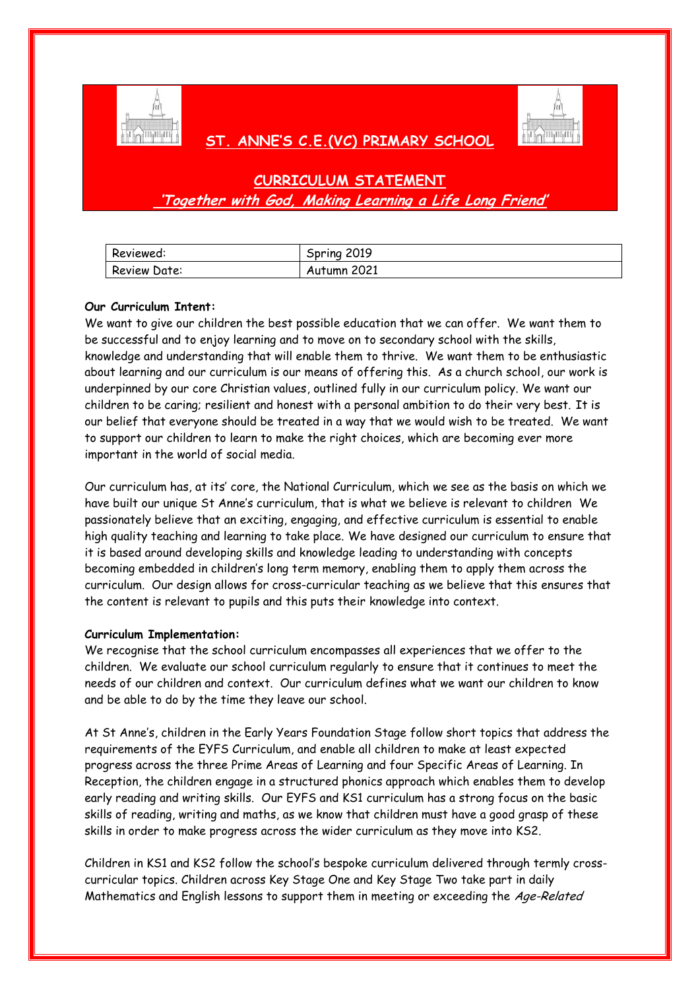

# **ST. ANNE'S C.E.(VC) PRIMARY SCHOOL**



| Reviewed:    | Spring 2019 |
|--------------|-------------|
| Review Date: | Autumn 2021 |

## **Our Curriculum Intent:**

We want to give our children the best possible education that we can offer. We want them to be successful and to enjoy learning and to move on to secondary school with the skills, knowledge and understanding that will enable them to thrive. We want them to be enthusiastic about learning and our curriculum is our means of offering this. As a church school, our work is underpinned by our core Christian values, outlined fully in our curriculum policy. We want our children to be caring; resilient and honest with a personal ambition to do their very best. It is our belief that everyone should be treated in a way that we would wish to be treated. We want to support our children to learn to make the right choices, which are becoming ever more important in the world of social media.

Our curriculum has, at its' core, the National Curriculum, which we see as the basis on which we have built our unique St Anne's curriculum, that is what we believe is relevant to children We passionately believe that an exciting, engaging, and effective curriculum is essential to enable high quality teaching and learning to take place. We have designed our curriculum to ensure that it is based around developing skills and knowledge leading to understanding with concepts becoming embedded in children's long term memory, enabling them to apply them across the curriculum. Our design allows for cross-curricular teaching as we believe that this ensures that the content is relevant to pupils and this puts their knowledge into context.

## **Curriculum Implementation:**

We recognise that the school curriculum encompasses all experiences that we offer to the children. We evaluate our school curriculum regularly to ensure that it continues to meet the needs of our children and context. Our curriculum defines what we want our children to know and be able to do by the time they leave our school.

At St Anne's, children in the Early Years Foundation Stage follow short topics that address the requirements of the EYFS Curriculum, and enable all children to make at least expected progress across the three Prime Areas of Learning and four Specific Areas of Learning. In Reception, the children engage in a structured phonics approach which enables them to develop early reading and writing skills. Our EYFS and KS1 curriculum has a strong focus on the basic skills of reading, writing and maths, as we know that children must have a good grasp of these skills in order to make progress across the wider curriculum as they move into KS2.

Children in KS1 and KS2 follow the school's bespoke curriculum delivered through termly crosscurricular topics. Children across Key Stage One and Key Stage Two take part in daily Mathematics and English lessons to support them in meeting or exceeding the Age-Related